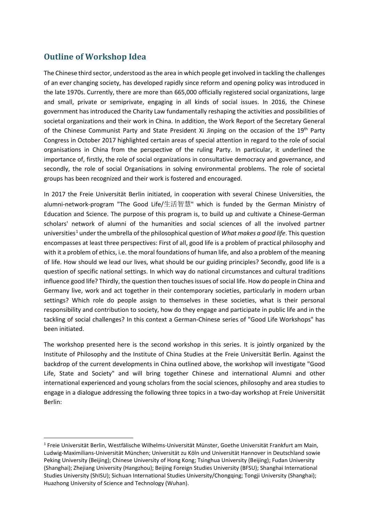## **Outline of Workshop Idea**

The Chinese third sector, understood as the area in which people get involved in tackling the challenges of an ever changing society, has developed rapidly since reform and opening policy was introduced in the late 1970s. Currently, there are more than 665,000 officially registered social organizations, large and small, private or semiprivate, engaging in all kinds of social issues. In 2016, the Chinese government has introduced the Charity Law fundamentally reshaping the activities and possibilities of societal organizations and their work in China. In addition, the Work Report of the Secretary General of the Chinese Communist Party and State President Xi Jinping on the occasion of the 19<sup>th</sup> Party Congress in October 2017 highlighted certain areas of special attention in regard to the role of social organisations in China from the perspective of the ruling Party. In particular, it underlined the importance of, firstly, the role of social organizations in consultative democracy and governance, and secondly, the role of social Organisations in solving environmental problems. The role of societal groups has been recognized and their work is fostered and encouraged.

In 2017 the Freie Universität Berlin initiated, in cooperation with several Chinese Universities, the alumni-network-program "The Good Life/生活智慧" which is funded by the German Ministry of Education and Science. The purpose of this program is, to build up and cultivate a Chinese-German scholars' network of alumni of the humanities and social sciences of all the involved partner universities[1](#page-0-0) under the umbrella of the philosophical question of *What makes a good life*. This question encompasses at least three perspectives: First of all, good life is a problem of practical philosophy and with it a problem of ethics, i.e. the moral foundations of human life, and also a problem of the meaning of life. How should we lead our lives, what should be our guiding principles? Secondly, good life is a question of specific national settings. In which way do national circumstances and cultural traditions influence good life? Thirdly, the question then touches issues of social life. How do people in China and Germany live, work and act together in their contemporary societies, particularly in modern urban settings? Which role do people assign to themselves in these societies, what is their personal responsibility and contribution to society, how do they engage and participate in public life and in the tackling of social challenges? In this context a German-Chinese series of "Good Life Workshops" has been initiated.

The workshop presented here is the second workshop in this series. It is jointly organized by the Institute of Philosophy and the Institute of China Studies at the Freie Universität Berlin. Against the backdrop of the current developments in China outlined above, the workshop will investigate "Good Life, State and Society" and will bring together Chinese and international Alumni and other international experienced and young scholars from the social sciences, philosophy and area studies to engage in a dialogue addressing the following three topics in a two-day workshop at Freie Universität Berlin:

<span id="page-0-0"></span> <sup>1</sup> Freie Universität Berlin, Westfälische Wilhelms-Universität Münster, Goethe Universität Frankfurt am Main, Ludwig-Maximilians-Universität München; Universität zu Köln und Universität Hannover in Deutschland sowie Peking University (Beijing); Chinese University of Hong Kong; Tsinghua University (Beijing); Fudan University (Shanghai); Zhejiang University (Hangzhou); Beijing Foreign Studies University (BFSU); Shanghai International Studies University (ShISU); Sichuan International Studies University/Chongqing; Tongji University (Shanghai); Huazhong University of Science and Technology (Wuhan).